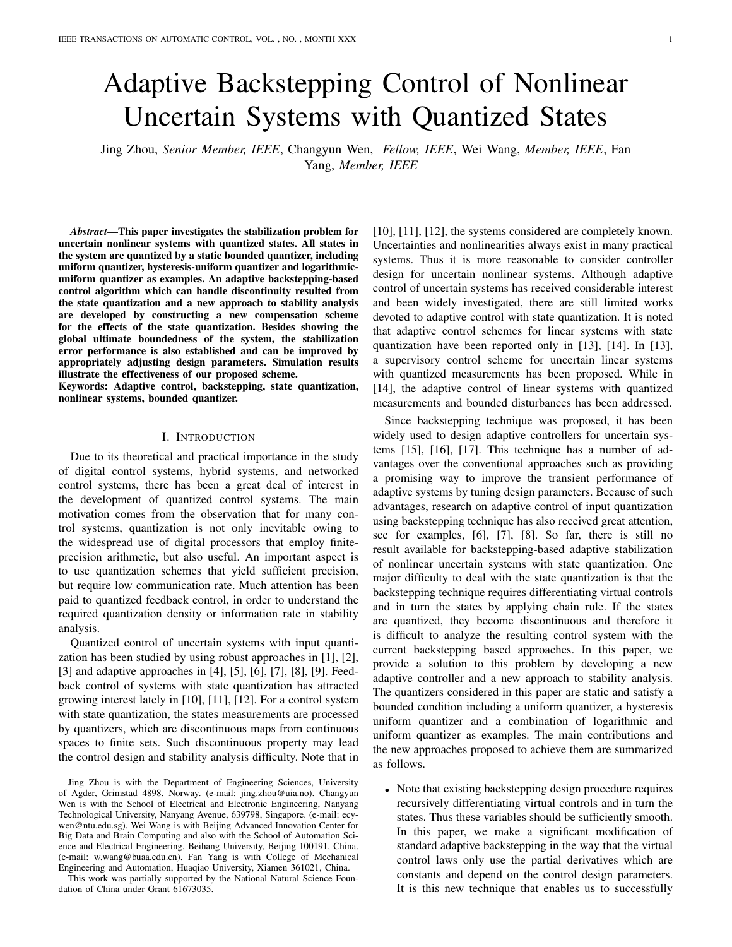# Adaptive Backstepping Control of Nonlinear Uncertain Systems with Quantized States

Jing Zhou, *Senior Member, IEEE*, Changyun Wen, *Fellow, IEEE*, Wei Wang, *Member, IEEE*, Fan Yang, *Member, IEEE*

*Abstract*—This paper investigates the stabilization problem for uncertain nonlinear systems with quantized states. All states in the system are quantized by a static bounded quantizer, including uniform quantizer, hysteresis-uniform quantizer and logarithmicuniform quantizer as examples. An adaptive backstepping-based control algorithm which can handle discontinuity resulted from the state quantization and a new approach to stability analysis are developed by constructing a new compensation scheme for the effects of the state quantization. Besides showing the global ultimate boundedness of the system, the stabilization error performance is also established and can be improved by appropriately adjusting design parameters. Simulation results illustrate the effectiveness of our proposed scheme.

Keywords: Adaptive control, backstepping, state quantization, nonlinear systems, bounded quantizer.

### I. INTRODUCTION

Due to its theoretical and practical importance in the study of digital control systems, hybrid systems, and networked control systems, there has been a great deal of interest in the development of quantized control systems. The main motivation comes from the observation that for many control systems, quantization is not only inevitable owing to the widespread use of digital processors that employ finiteprecision arithmetic, but also useful. An important aspect is to use quantization schemes that yield sufficient precision, but require low communication rate. Much attention has been paid to quantized feedback control, in order to understand the required quantization density or information rate in stability analysis.

Quantized control of uncertain systems with input quantization has been studied by using robust approaches in [1], [2], [3] and adaptive approaches in [4], [5], [6], [7], [8], [9]. Feedback control of systems with state quantization has attracted growing interest lately in [10], [11], [12]. For a control system with state quantization, the states measurements are processed by quantizers, which are discontinuous maps from continuous spaces to finite sets. Such discontinuous property may lead the control design and stability analysis difficulty. Note that in

This work was partially supported by the National Natural Science Foundation of China under Grant 61673035.

[10], [11], [12], the systems considered are completely known. Uncertainties and nonlinearities always exist in many practical systems. Thus it is more reasonable to consider controller design for uncertain nonlinear systems. Although adaptive control of uncertain systems has received considerable interest and been widely investigated, there are still limited works devoted to adaptive control with state quantization. It is noted that adaptive control schemes for linear systems with state quantization have been reported only in [13], [14]. In [13], a supervisory control scheme for uncertain linear systems with quantized measurements has been proposed. While in [14], the adaptive control of linear systems with quantized measurements and bounded disturbances has been addressed.

Since backstepping technique was proposed, it has been widely used to design adaptive controllers for uncertain systems [15], [16], [17]. This technique has a number of advantages over the conventional approaches such as providing a promising way to improve the transient performance of adaptive systems by tuning design parameters. Because of such advantages, research on adaptive control of input quantization using backstepping technique has also received great attention, see for examples, [6], [7], [8]. So far, there is still no result available for backstepping-based adaptive stabilization of nonlinear uncertain systems with state quantization. One major difficulty to deal with the state quantization is that the backstepping technique requires differentiating virtual controls and in turn the states by applying chain rule. If the states are quantized, they become discontinuous and therefore it is difficult to analyze the resulting control system with the current backstepping based approaches. In this paper, we provide a solution to this problem by developing a new adaptive controller and a new approach to stability analysis. The quantizers considered in this paper are static and satisfy a bounded condition including a uniform quantizer, a hysteresis uniform quantizer and a combination of logarithmic and uniform quantizer as examples. The main contributions and the new approaches proposed to achieve them are summarized as follows.

*•* Note that existing backstepping design procedure requires recursively differentiating virtual controls and in turn the states. Thus these variables should be sufficiently smooth. In this paper, we make a significant modification of standard adaptive backstepping in the way that the virtual control laws only use the partial derivatives which are constants and depend on the control design parameters. It is this new technique that enables us to successfully

Jing Zhou is with the Department of Engineering Sciences, University of Agder, Grimstad 4898, Norway. (e-mail: jing.zhou@uia.no). Changyun Wen is with the School of Electrical and Electronic Engineering, Nanyang Technological University, Nanyang Avenue, 639798, Singapore. (e-mail: ecywen@ntu.edu.sg). Wei Wang is with Beijing Advanced Innovation Center for Big Data and Brain Computing and also with the School of Automation Science and Electrical Engineering, Beihang University, Beijing 100191, China. (e-mail: w.wang@buaa.edu.cn). Fan Yang is with College of Mechanical Engineering and Automation, Huaqiao University, Xiamen 361021, China.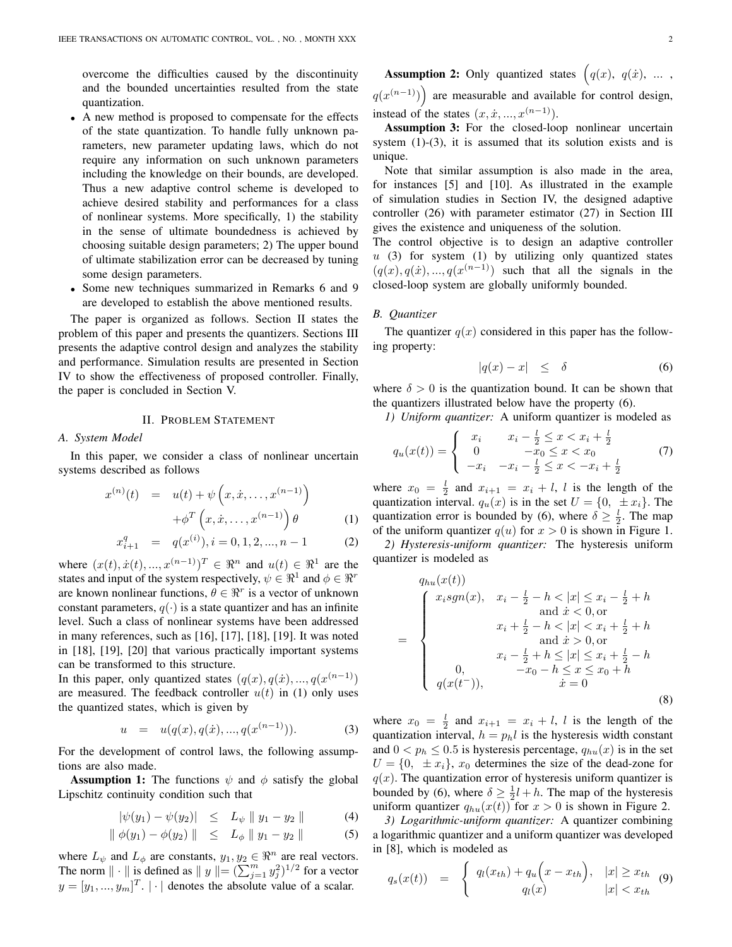overcome the difficulties caused by the discontinuity and the bounded uncertainties resulted from the state quantization.

- *•* A new method is proposed to compensate for the effects of the state quantization. To handle fully unknown parameters, new parameter updating laws, which do not require any information on such unknown parameters including the knowledge on their bounds, are developed. Thus a new adaptive control scheme is developed to achieve desired stability and performances for a class of nonlinear systems. More specifically, 1) the stability in the sense of ultimate boundedness is achieved by choosing suitable design parameters; 2) The upper bound of ultimate stabilization error can be decreased by tuning some design parameters.
- *•* Some new techniques summarized in Remarks 6 and 9 are developed to establish the above mentioned results.

The paper is organized as follows. Section II states the problem of this paper and presents the quantizers. Sections III presents the adaptive control design and analyzes the stability and performance. Simulation results are presented in Section IV to show the effectiveness of proposed controller. Finally, the paper is concluded in Section V.

# II. PROBLEM STATEMENT

#### *A. System Model*

In this paper, we consider a class of nonlinear uncertain systems described as follows

$$
x^{(n)}(t) = u(t) + \psi\left(x, \dot{x}, \dots, x^{(n-1)}\right) + \phi^T\left(x, \dot{x}, \dots, x^{(n-1)}\right)\theta
$$
 (1)

$$
x_{i+1}^q = q(x^{(i)}), i = 0, 1, 2, ..., n-1
$$
 (2)

where  $(x(t), \dot{x}(t), ..., x^{(n-1)})^T \in \mathbb{R}^n$  and  $u(t) \in \mathbb{R}^1$  are the states and input of the system respectively,  $\psi \in \mathbb{R}^1$  and  $\phi \in \mathbb{R}^r$ are known nonlinear functions,  $\theta \in \mathbb{R}^r$  is a vector of unknown constant parameters,  $q(\cdot)$  is a state quantizer and has an infinite level. Such a class of nonlinear systems have been addressed in many references, such as [16], [17], [18], [19]. It was noted in [18], [19], [20] that various practically important systems can be transformed to this structure.

In this paper, only quantized states  $(q(x), q(x), ..., q(x^{(n-1)})$ are measured. The feedback controller  $u(t)$  in (1) only uses the quantized states, which is given by

$$
u = u(q(x), q(x), ..., q(x^{(n-1)})). \tag{3}
$$

For the development of control laws, the following assumptions are also made.

**Assumption 1:** The functions  $\psi$  and  $\phi$  satisfy the global Lipschitz continuity condition such that

$$
|\psi(y_1) - \psi(y_2)| \leq L_{\psi} \| y_1 - y_2 \| \tag{4}
$$

$$
\|\phi(y_1) - \phi(y_2)\| \le L_{\phi} \|y_1 - y_2\| \tag{5}
$$

where  $L_{\psi}$  and  $L_{\phi}$  are constants,  $y_1, y_2 \in \mathbb{R}^n$  are real vectors. The norm  $\|\cdot\|$  is defined as  $\|y\| = (\sum_{j=1}^m y_j^2)^{1/2}$  for a vector  $y = [y_1, ..., y_m]^T$ .  $| \cdot |$  denotes the absolute value of a scalar.

**Assumption 2:** Only quantized states  $\left(q(x), q(x), \ldots\right)$  $q(x^{(n-1)})$  are measurable and available for control design, instead of the states  $(x, \dot{x}, ..., x^{(n-1)})$ .

Assumption 3: For the closed-loop nonlinear uncertain system  $(1)-(3)$ , it is assumed that its solution exists and is unique.

Note that similar assumption is also made in the area, for instances [5] and [10]. As illustrated in the example of simulation studies in Section IV, the designed adaptive controller (26) with parameter estimator (27) in Section III gives the existence and uniqueness of the solution.

The control objective is to design an adaptive controller *u* (3) for system (1) by utilizing only quantized states  $(q(x), q(x), \ldots, q(x^{(n-1)})$  such that all the signals in the closed-loop system are globally uniformly bounded.

# *B. Quantizer*

The quantizer  $q(x)$  considered in this paper has the following property:

$$
|q(x) - x| \le \delta \tag{6}
$$

where  $\delta > 0$  is the quantization bound. It can be shown that the quantizers illustrated below have the property (6).

*1) Uniform quantizer:* A uniform quantizer is modeled as

$$
q_u(x(t)) = \begin{cases} x_i & x_i - \frac{1}{2} \le x < x_i + \frac{1}{2} \\ 0 & -x_0 \le x < x_0 \\ -x_i & -x_i - \frac{1}{2} \le x < -x_i + \frac{1}{2} \end{cases} \tag{7}
$$

where  $x_0 = \frac{l}{2}$  and  $x_{i+1} = x_i + l$ , *l* is the length of the quantization interval.  $q_u(x)$  is in the set  $U = \{0, \pm x_i\}$ . The quantization error is bounded by (6), where  $\delta \geq \frac{l}{2}$ . The map of the uniform quantizer  $q(u)$  for  $x > 0$  is shown in Figure 1.

*2) Hysteresis-uniform quantizer:* The hysteresis uniform quantizer is modeled as

$$
q_{hu}(x(t))
$$
\n
$$
= \begin{cases}\nx_i sgn(x), & x_i - \frac{l}{2} - h < |x| \le x_i - \frac{l}{2} + h \\
\text{and } \dot{x} < 0, \text{or} \\
x_i + \frac{l}{2} - h < |x| < x_i + \frac{l}{2} + h \\
\text{and } \dot{x} > 0, \text{or} \\
x_i - \frac{l}{2} + h < |x| \le x_i + \frac{l}{2} - h \\
0, & -x_0 - h \le x \le x_0 + h \\
q(x(t^-)), & \dot{x} = 0\n\end{cases} \tag{8}
$$

where  $x_0 = \frac{l}{2}$  and  $x_{i+1} = x_i + l$ , *l* is the length of the quantization interval,  $h = p_h l$  is the hysteresis width constant and  $0 < p_h \leq 0.5$  is hysteresis percentage,  $q_{hu}(x)$  is in the set  $U = \{0, \pm x_i\}, x_0$  determines the size of the dead-zone for  $q(x)$ . The quantization error of hysteresis uniform quantizer is bounded by (6), where  $\delta \ge \frac{1}{2}l + h$ . The map of the hysteresis uniform quantizer  $q_{hu}(x(t))$  for  $x > 0$  is shown in Figure 2.

*3) Logarithmic-uniform quantizer:* A quantizer combining a logarithmic quantizer and a uniform quantizer was developed in [8], which is modeled as

$$
q_s(x(t)) = \begin{cases} q_l(x_{th}) + q_u(x - x_{th}), & |x| \ge x_{th} \\ q_l(x) & |x| < x_{th} \end{cases} \tag{9}
$$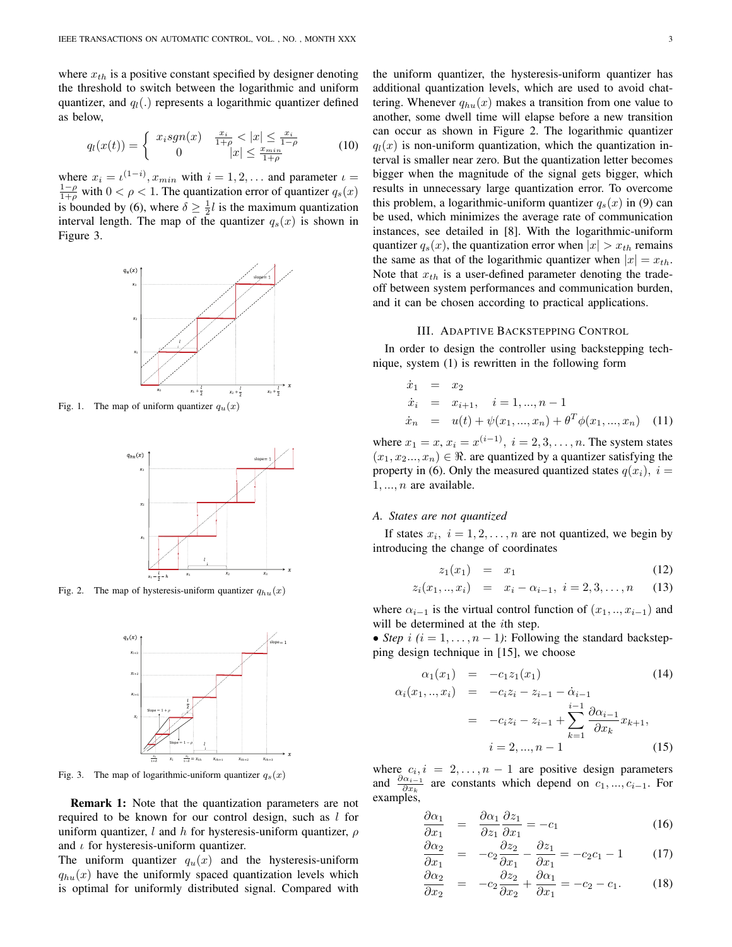where  $x_{th}$  is a positive constant specified by designer denoting the threshold to switch between the logarithmic and uniform quantizer, and *ql*(*.*) represents a logarithmic quantizer defined as below,

$$
q_l(x(t)) = \begin{cases} x_i sgn(x) & \frac{x_i}{1+\rho} < |x| \le \frac{x_i}{1-\rho} \\ 0 & |x| \le \frac{x_{min}}{1+\rho} \end{cases}
$$
 (10)

where  $x_i = \iota^{(1-i)}$ ,  $x_{min}$  with  $i = 1, 2, \dots$  and parameter  $\iota$  $\frac{1-\rho}{1+\rho}$  with 0 <  $\rho$  < 1. The quantization error of quantizer  $q_s(x)$ is bounded by (6), where  $\delta \geq \frac{1}{2}l$  is the maximum quantization interval length. The map of the quantizer  $q_s(x)$  is shown in Figure 3.



Fig. 1. The map of uniform quantizer  $q_u(x)$ 



Fig. 2. The map of hysteresis-uniform quantizer  $q_{hu}(x)$ 



Fig. 3. The map of logarithmic-uniform quantizer  $q_s(x)$ 

Remark 1: Note that the quantization parameters are not required to be known for our control design, such as *l* for uniform quantizer, *l* and *h* for hysteresis-uniform quantizer, *ρ* and *ι* for hysteresis-uniform quantizer.

The uniform quantizer  $q_u(x)$  and the hysteresis-uniform  $q_{hu}(x)$  have the uniformly spaced quantization levels which is optimal for uniformly distributed signal. Compared with the uniform quantizer, the hysteresis-uniform quantizer has additional quantization levels, which are used to avoid chattering. Whenever  $q_{hu}(x)$  makes a transition from one value to another, some dwell time will elapse before a new transition can occur as shown in Figure 2. The logarithmic quantizer  $q_l(x)$  is non-uniform quantization, which the quantization interval is smaller near zero. But the quantization letter becomes bigger when the magnitude of the signal gets bigger, which results in unnecessary large quantization error. To overcome this problem, a logarithmic-uniform quantizer  $q_s(x)$  in (9) can be used, which minimizes the average rate of communication instances, see detailed in [8]. With the logarithmic-uniform quantizer  $q_s(x)$ , the quantization error when  $|x| > x_{th}$  remains the same as that of the logarithmic quantizer when  $|x| = x_{th}$ . Note that *xth* is a user-defined parameter denoting the tradeoff between system performances and communication burden, and it can be chosen according to practical applications.

#### III. ADAPTIVE BACKSTEPPING CONTROL

In order to design the controller using backstepping technique, system (1) is rewritten in the following form

$$
\dot{x}_1 = x_2 \n\dot{x}_i = x_{i+1}, \quad i = 1, ..., n-1 \n\dot{x}_n = u(t) + \psi(x_1, ..., x_n) + \theta^T \phi(x_1, ..., x_n)
$$
\n(11)

where  $x_1 = x$ ,  $x_i = x^{(i-1)}$ ,  $i = 2, 3, \ldots, n$ . The system states  $(x_1, x_2, \ldots, x_n) \in \Re$ . are quantized by a quantizer satisfying the property in (6). Only the measured quantized states  $q(x_i)$ ,  $i =$ 1*, ..., n* are available.

#### *A. States are not quantized*

If states  $x_i$ ,  $i = 1, 2, \ldots, n$  are not quantized, we begin by introducing the change of coordinates

$$
z_1(x_1) = x_1 \tag{12}
$$

$$
z_i(x_1,..,x_i) = x_i - \alpha_{i-1}, \ i = 2,3,...,n \quad (13)
$$

where  $\alpha_{i-1}$  is the virtual control function of  $(x_1, \ldots, x_{i-1})$  and will be determined at the *i*th step.

• *Step*  $i$  ( $i = 1, \ldots, n - 1$ ): Following the standard backstepping design technique in [15], we choose

$$
\alpha_1(x_1) = -c_1 z_1(x_1) \qquad (14)
$$
  
\n
$$
\alpha_i(x_1, ..., x_i) = -c_i z_i - z_{i-1} - \dot{\alpha}_{i-1} \qquad (15)
$$

$$
= -c_i z_i - z_{i-1} + \sum_{k=1}^{i-1} \frac{\partial \alpha_{i-1}}{\partial x_k} x_{k+1},
$$
  

$$
i = 2, ..., n-1
$$
 (15)

where  $c_i, i = 2, \ldots, n-1$  are positive design parameters and  $\frac{\partial \alpha_{i-1}}{\partial x_k}$  are constants which depend on  $c_1, ..., c_{i-1}$ . For examples,

$$
\frac{\partial \alpha_1}{\partial x_1} = \frac{\partial \alpha_1}{\partial z_1} \frac{\partial z_1}{\partial x_1} = -c_1 \tag{16}
$$

$$
\frac{\partial \alpha_2}{\partial x_1} = -c_2 \frac{\partial z_2}{\partial x_1} - \frac{\partial z_1}{\partial x_1} = -c_2 c_1 - 1 \tag{17}
$$

$$
\frac{\partial \alpha_2}{\partial x_2} = -c_2 \frac{\partial z_2}{\partial x_2} + \frac{\partial \alpha_1}{\partial x_1} = -c_2 - c_1. \tag{18}
$$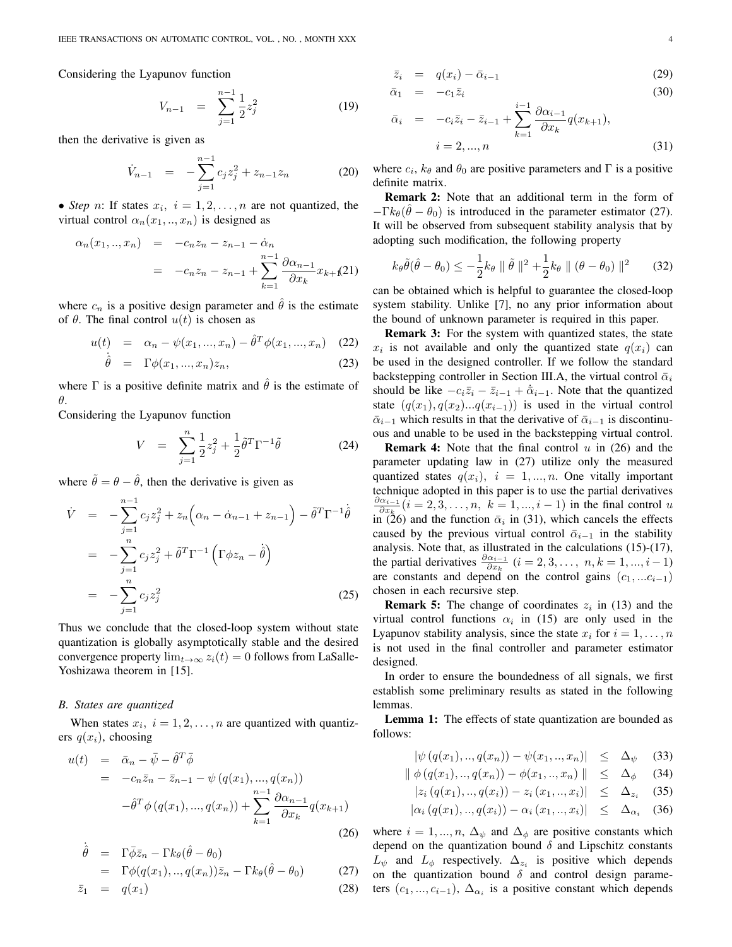Considering the Lyapunov function

$$
V_{n-1} = \sum_{j=1}^{n-1} \frac{1}{2} z_j^2 \tag{19}
$$

then the derivative is given as

$$
\dot{V}_{n-1} = -\sum_{j=1}^{n-1} c_j z_j^2 + z_{n-1} z_n \tag{20}
$$

• *Step n*: If states  $x_i$ ,  $i = 1, 2, \ldots, n$  are not quantized, the virtual control  $\alpha_n(x_1, \ldots, x_n)$  is designed as

$$
\alpha_n(x_1,..,x_n) = -c_n z_n - z_{n-1} - \dot{\alpha}_n
$$
  
= 
$$
-c_n z_n - z_{n-1} + \sum_{k=1}^{n-1} \frac{\partial \alpha_{n-1}}{\partial x_k} x_{k+1} (21)
$$

where  $c_n$  is a positive design parameter and  $\hat{\theta}$  is the estimate of  $\theta$ . The final control  $u(t)$  is chosen as

$$
u(t) = \alpha_n - \psi(x_1, ..., x_n) - \hat{\theta}^T \phi(x_1, ..., x_n) \quad (22)
$$

$$
\dot{\hat{\theta}} = \Gamma \phi(x_1, ..., x_n) z_n, \tag{23}
$$

where  $\Gamma$  is a positive definite matrix and  $\hat{\theta}$  is the estimate of *θ*.

Considering the Lyapunov function

$$
V = \sum_{j=1}^{n} \frac{1}{2} z_j^2 + \frac{1}{2} \tilde{\theta}^T \Gamma^{-1} \tilde{\theta}
$$
 (24)

where  $\tilde{\theta} = \theta - \hat{\theta}$ , then the derivative is given as

$$
\dot{V} = -\sum_{j=1}^{n-1} c_j z_j^2 + z_n \left( \alpha_n - \dot{\alpha}_{n-1} + z_{n-1} \right) - \tilde{\theta}^T \Gamma^{-1} \dot{\hat{\theta}}
$$
\n
$$
= -\sum_{j=1}^n c_j z_j^2 + \tilde{\theta}^T \Gamma^{-1} \left( \Gamma \phi z_n - \dot{\theta} \right)
$$
\n
$$
= -\sum_{j=1}^n c_j z_j^2 \tag{25}
$$

Thus we conclude that the closed-loop system without state quantization is globally asymptotically stable and the desired convergence property  $\lim_{t\to\infty} z_i(t) = 0$  follows from LaSalle-Yoshizawa theorem in [15].

#### *B. States are quantized*

When states  $x_i$ ,  $i = 1, 2, \ldots, n$  are quantized with quantizers  $q(x_i)$ , choosing

$$
u(t) = \bar{\alpha}_n - \bar{\psi} - \hat{\theta}^T \bar{\phi}
$$
  
=  $-c_n \bar{z}_n - \bar{z}_{n-1} - \psi (q(x_1), ..., q(x_n))$   
 $- \hat{\theta}^T \phi (q(x_1), ..., q(x_n)) + \sum_{k=1}^{n-1} \frac{\partial \alpha_{n-1}}{\partial x_k} q(x_{k+1})$  (26)

$$
\dot{\hat{\theta}} = \Gamma \bar{\phi} \bar{z}_n - \Gamma k_\theta (\hat{\theta} - \theta_0) \n= \Gamma \phi(q(x_1), ..., q(x_n)) \bar{z}_n - \Gamma k_\theta (\hat{\theta} - \theta_0)
$$
\n(27)

$$
\bar{z}_1 = q(x_1) \tag{28}
$$

$$
\bar{z}_i = q(x_i) - \bar{\alpha}_{i-1} \tag{29}
$$

$$
\bar{\alpha}_1 = -c_1 \bar{z}_i \tag{30}
$$
\n
$$
\frac{i-1}{2} \partial \alpha_{i-1}
$$

$$
\bar{\alpha}_{i} = -c_{i}\bar{z}_{i} - \bar{z}_{i-1} + \sum_{k=1}^{i-1} \frac{\partial \alpha_{i-1}}{\partial x_{k}} q(x_{k+1}),
$$
\n
$$
i = 2, ..., n
$$
\n(31)

where  $c_i$ ,  $k_\theta$  and  $\theta_0$  are positive parameters and  $\Gamma$  is a positive definite matrix.

Remark 2: Note that an additional term in the form of  $-\Gamma k_{\theta}(\hat{\theta} - \theta_0)$  is introduced in the parameter estimator (27). It will be observed from subsequent stability analysis that by adopting such modification, the following property

$$
k_{\theta}\tilde{\theta}(\hat{\theta}-\theta_0) \leq -\frac{1}{2}k_{\theta} \parallel \tilde{\theta} \parallel^2 + \frac{1}{2}k_{\theta} \parallel (\theta-\theta_0) \parallel^2 \qquad (32)
$$

can be obtained which is helpful to guarantee the closed-loop system stability. Unlike [7], no any prior information about the bound of unknown parameter is required in this paper.

Remark 3: For the system with quantized states, the state  $x_i$  is not available and only the quantized state  $q(x_i)$  can be used in the designed controller. If we follow the standard backstepping controller in Section III.A, the virtual control  $\bar{\alpha}_i$ should be like  $-c_i\overline{z}_i - \overline{z}_{i-1} + \dot{\overline{\alpha}}_{i-1}$ . Note that the quantized state  $(q(x_1), q(x_2), \ldots, q(x_{i-1}))$  is used in the virtual control  $\bar{\alpha}_{i-1}$  which results in that the derivative of  $\bar{\alpha}_{i-1}$  is discontinuous and unable to be used in the backstepping virtual control.

Remark 4: Note that the final control *u* in (26) and the parameter updating law in (27) utilize only the measured quantized states  $q(x_i)$ ,  $i = 1, ..., n$ . One vitally important technique adopted in this paper is to use the partial derivatives  $\frac{\partial \alpha_{i-1}}{\partial x_k}$  (*i* = 2, 3, . . . , *n*, *k* = 1, ..., *i* − 1) in the final control *u* in (26) and the function  $\bar{\alpha}_i$  in (31), which cancels the effects caused by the previous virtual control  $\bar{\alpha}_{i-1}$  in the stability analysis. Note that, as illustrated in the calculations (15)-(17), the partial derivatives  $\frac{\partial \alpha_{i-1}}{\partial x_k}$  (*i* = 2, 3, . . . , n, k = 1, ..., *i* − 1) are constants and depend on the control gains  $(c_1, ... c_{i-1})$ chosen in each recursive step.

**Remark 5:** The change of coordinates  $z_i$  in (13) and the virtual control functions  $\alpha_i$  in (15) are only used in the Lyapunov stability analysis, since the state  $x_i$  for  $i = 1, \ldots, n$ is not used in the final controller and parameter estimator designed.

In order to ensure the boundedness of all signals, we first establish some preliminary results as stated in the following lemmas.

Lemma 1: The effects of state quantization are bounded as follows:

$$
|\psi(q(x_1),..,q(x_n)) - \psi(x_1,..,x_n)| \leq \Delta_{\psi} \quad (33)
$$

$$
\|\phi(q(x_1),...,q(x_n)) - \phi(x_1,...,x_n)\| \leq \Delta_{\phi} \quad (34)
$$

$$
|z_i(q(x_1),..,q(x_i)) - z_i(x_1,..,x_i)| \leq \Delta_{z_i} \quad (35)
$$

$$
\left| \alpha_i \left( q(x_1), \ldots, q(x_i) \right) - \alpha_i \left( x_1, \ldots, x_i \right) \right| \leq \Delta_{\alpha_i} \quad (36)
$$

where  $i = 1, ..., n$ ,  $\Delta_{\psi}$  and  $\Delta_{\phi}$  are positive constants which depend on the quantization bound *δ* and Lipschitz constants  $L_{\psi}$  and  $L_{\phi}$  respectively.  $\Delta_{z_i}$  is positive which depends on the quantization bound *δ* and control design parameters  $(c_1, ..., c_{i-1})$ ,  $\Delta_{\alpha_i}$  is a positive constant which depends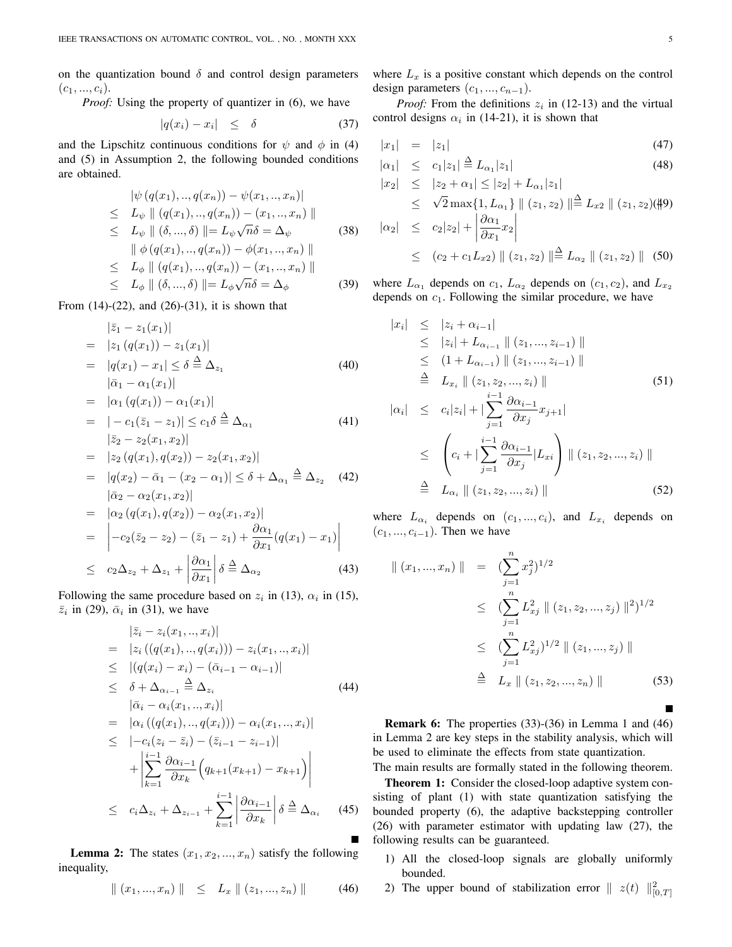on the quantization bound  $\delta$  and control design parameters  $(c_1, ..., c_i)$ .

*Proof:* Using the property of quantizer in (6), we have

$$
|q(x_i) - x_i| \leq \delta \tag{37}
$$

and the Lipschitz continuous conditions for  $\psi$  and  $\phi$  in (4) and (5) in Assumption 2, the following bounded conditions are obtained.

$$
\begin{aligned}\n|\psi(q(x_1), ..., q(x_n)) - \psi(x_1, ..., x_n)| \\
&\leq L_{\psi} \|\left(q(x_1), ..., q(x_n)\right) - (x_1, ..., x_n)\|\n\leq L_{\psi} \|\left(\delta, ..., \delta\right)\| = L_{\psi}\sqrt{n}\delta = \Delta_{\psi} \qquad (38) \\
\|\phi(q(x_1), ..., q(x_n)) - \phi(x_1, ..., x_n)\|\n\leq L_{\phi} \|\left(q(x_1), ..., q(x_n)\right) - (x_1, ..., x_n)\|\n\leq L_{\phi} \|\left(\delta, ..., \delta\right)\| = L_{\phi}\sqrt{n}\delta = \Delta_{\phi} \qquad (39)\n\end{aligned}
$$

From  $(14)-(22)$ , and  $(26)-(31)$ , it is shown that

$$
\begin{aligned}\n|\bar{z}_1 - z_1(x_1)| \\
&= |z_1 (q(x_1)) - z_1(x_1)| \\
&= |q(x_1) - x_1| \le \delta \stackrel{\Delta}{=} \Delta_{z_1} \\
|\bar{\alpha}_1 - \alpha_1(x_1)|\n\end{aligned} \tag{40}
$$

$$
= |\alpha_1 (q(x_1)) - \alpha_1 (x_1)|
$$
  
\n
$$
= |-c_1(\bar{z}_1 - z_1)| \leq c_1 \delta \stackrel{\Delta}{=} \Delta_{\alpha_1}
$$
  
\n
$$
|\bar{z}_2 - z_2(x_1, x_2)|
$$
\n(41)

$$
= |z_2 (q(x_1), q(x_2)) - z_2(x_1, x_2)|
$$
  
=  $|q(x_2) - \bar{\alpha}_1 - (x_2 - \alpha_1)| \le \delta + \Delta_{\alpha_1} \stackrel{\Delta}{=} \Delta_{z_2}$  (42)  
 $|\bar{\alpha}_2 - \alpha_2(x_1, x_2)|$ 

$$
= |\alpha_2 (q(x_1), q(x_2)) - \alpha_2(x_1, x_2)|
$$
  
\n
$$
= |-c_2(\bar{z}_2 - z_2) - (\bar{z}_1 - z_1) + \frac{\partial \alpha_1}{\partial x_1} (q(x_1) - x_1)|
$$
  
\n
$$
\leq c_2 \Delta_{z_2} + \Delta_{z_1} + |\frac{\partial \alpha_1}{\partial x_1}| \delta \stackrel{\Delta}{=} \Delta_{\alpha_2}
$$
(43)

Following the same procedure based on  $z_i$  in (13),  $\alpha_i$  in (15),  $\overline{z}_i$  in (29),  $\overline{\alpha}_i$  in (31), we have

$$
\begin{aligned}\n|\bar{z}_{i} - z_{i}(x_{1},...,x_{i})| \\
&= |z_{i}((q(x_{1}),...,q(x_{i}))) - z_{i}(x_{1},...,x_{i})| \\
&\leq |(q(x_{i}) - x_{i}) - (\bar{\alpha}_{i-1} - \alpha_{i-1})| \\
&\leq \delta + \Delta_{\alpha_{i-1}} \stackrel{\Delta}{=} \Delta_{z_{i}} \qquad (44) \\
|\bar{\alpha}_{i} - \alpha_{i}(x_{1},...,x_{i})| \\
&= |\alpha_{i}((q(x_{1}),...,q(x_{i}))) - \alpha_{i}(x_{1},...,x_{i})| \\
&\leq |-c_{i}(z_{i} - \bar{z}_{i}) - (\bar{z}_{i-1} - z_{i-1})| \\
&\quad + \left| \sum_{k=1}^{i-1} \frac{\partial \alpha_{i-1}}{\partial x_{k}} \left( q_{k+1}(x_{k+1}) - x_{k+1} \right) \right| \\
&\leq c_{i} \Delta_{z_{i}} + \Delta_{z_{i-1}} + \sum_{k=1}^{i-1} \left| \frac{\partial \alpha_{i-1}}{\partial x_{k}} \right| \delta \stackrel{\Delta}{=} \Delta_{\alpha_{i}} \qquad (45)\n\end{aligned}
$$

**Lemma 2:** The states  $(x_1, x_2, \ldots, x_n)$  satisfy the following inequality,

$$
\| (x_1, ..., x_n) \| \le L_x \| (z_1, ..., z_n) \| \qquad (46)
$$

where  $L_x$  is a positive constant which depends on the control design parameters  $(c_1, ..., c_{n-1})$ .

*Proof:* From the definitions  $z_i$  in (12-13) and the virtual control designs  $\alpha_i$  in (14-21), it is shown that

$$
|x_1| = |z_1| \tag{47}
$$

$$
|\alpha_1| \le c_1 |z_1| \stackrel{\Delta}{=} L_{\alpha_1} |z_1| \tag{48}
$$

$$
|x_2| \leq |z_2 + \alpha_1| \leq |z_2| + L_{\alpha_1}|z_1|
$$
  
\n
$$
\leq \sqrt{2} \max\{1, L_{\alpha_1}\} || (z_1, z_2) || \stackrel{\Delta}{=} L_{x2} || (z_1, z_2)(\sharp 9)
$$
  
\n
$$
|\alpha_2| \leq c_2 |z_2| + \left| \frac{\partial \alpha_1}{\partial x_1} x_2 \right|
$$
  
\n
$$
\leq (c_2 + c_1 L_{x2}) || (z_1, z_2) || \stackrel{\Delta}{=} L_{\alpha_2} || (z_1, z_2) || (50)
$$

where  $L_{\alpha_1}$  depends on  $c_1$ ,  $L_{\alpha_2}$  depends on  $(c_1, c_2)$ , and  $L_{x_2}$ depends on *c*1. Following the similar procedure, we have

$$
|x_{i}| \leq |z_{i} + \alpha_{i-1}|
$$
  
\n
$$
\leq |z_{i}| + L_{\alpha_{i-1}} || (z_{1}, ..., z_{i-1}) ||
$$
  
\n
$$
\leq (1 + L_{\alpha_{i-1}}) || (z_{1}, ..., z_{i-1}) ||
$$
  
\n
$$
\stackrel{\Delta}{=} L_{x_{i}} || (z_{1}, z_{2}, ..., z_{i}) ||
$$
  
\n
$$
|\alpha_{i}| \leq c_{i} |z_{i}| + |\sum_{j=1}^{i-1} \frac{\partial \alpha_{i-1}}{\partial x_{j}} x_{j+1}|
$$
  
\n
$$
\leq \left( c_{i} + |\sum_{j=1}^{i-1} \frac{\partial \alpha_{i-1}}{\partial x_{j}} |L_{xi} \right) || (z_{1}, z_{2}, ..., z_{i}) ||
$$
  
\n
$$
\stackrel{\Delta}{=} L_{\alpha_{i}} || (z_{1}, z_{2}, ..., z_{i}) ||
$$
\n(52)

where  $L_{\alpha_i}$  depends on  $(c_1, ..., c_i)$ , and  $L_{x_i}$  depends on  $(c_1, ..., c_{i-1})$ . Then we have

$$
\| (x_1, ..., x_n) \| = (\sum_{j=1}^n x_j^2)^{1/2}
$$
  
\n
$$
\leq (\sum_{j=1}^n L_{xj}^2 \| (z_1, z_2, ..., z_j) \|^2)^{1/2}
$$
  
\n
$$
\leq (\sum_{j=1}^n L_{xj}^2)^{1/2} \| (z_1, ..., z_j) \|
$$
  
\n
$$
\stackrel{\Delta}{=} L_x \| (z_1, z_2, ..., z_n) \|
$$
 (53)

Remark 6: The properties (33)-(36) in Lemma 1 and (46) in Lemma 2 are key steps in the stability analysis, which will be used to eliminate the effects from state quantization.

The main results are formally stated in the following theorem. Theorem 1: Consider the closed-loop adaptive system consisting of plant (1) with state quantization satisfying the bounded property (6), the adaptive backstepping controller (26) with parameter estimator with updating law (27), the following results can be guaranteed.

- 1) All the closed-loop signals are globally uniformly bounded.
- 2) The upper bound of stabilization error  $||z(t)||_{[0,T]}^2$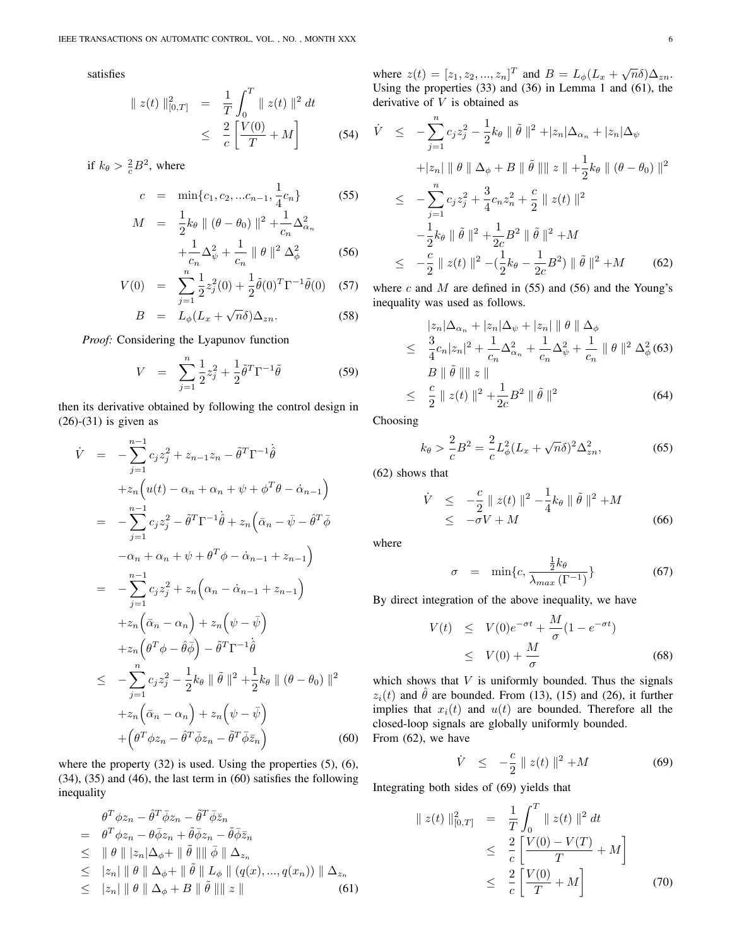satisfies

$$
\| z(t) \|_{[0,T]}^2 = \frac{1}{T} \int_0^T \| z(t) \|^2 dt
$$
  

$$
\leq \frac{2}{c} \left[ \frac{V(0)}{T} + M \right]
$$
(54)

if  $k_{\theta} > \frac{2}{c}B^2$ , where

 $\cal M$ 

$$
c = \min\{c_1, c_2, \dots c_{n-1}, \frac{1}{4}c_n\} \tag{55}
$$

$$
= \frac{1}{2}k_{\theta} \parallel (\theta - \theta_0) \parallel^2 + \frac{1}{c_n} \Delta_{\alpha_n}^2
$$

$$
+ \frac{1}{c_n} \Delta_{\psi}^2 + \frac{1}{c_n} \parallel \theta \parallel^2 \Delta_{\phi}^2
$$
(56)

$$
V(0) = \sum_{j=1}^{n} \frac{1}{2} z_j^2(0) + \frac{1}{2} \tilde{\theta}(0)^T \Gamma^{-1} \tilde{\theta}(0)
$$
 (57)

$$
B = L_{\phi}(L_x + \sqrt{n}\delta)\Delta_{zn}.
$$
 (58)

*Proof:* Considering the Lyapunov function

$$
V = \sum_{j=1}^{n} \frac{1}{2} z_j^2 + \frac{1}{2} \tilde{\theta}^T \Gamma^{-1} \tilde{\theta}
$$
 (59)

then its derivative obtained by following the control design in (26)-(31) is given as

$$
\dot{V} = -\sum_{j=1}^{n-1} c_j z_j^2 + z_{n-1} z_n - \tilde{\theta}^T \Gamma^{-1} \dot{\theta}
$$
\n
$$
+ z_n \Big( u(t) - \alpha_n + \alpha_n + \psi + \phi^T \theta - \dot{\alpha}_{n-1} \Big)
$$
\n
$$
= -\sum_{j=1}^{n-1} c_j z_j^2 - \tilde{\theta}^T \Gamma^{-1} \dot{\theta} + z_n \Big( \bar{\alpha}_n - \bar{\psi} - \hat{\theta}^T \bar{\phi} \Big)
$$
\n
$$
- \alpha_n + \alpha_n + \psi + \theta^T \phi - \dot{\alpha}_{n-1} + z_{n-1} \Big)
$$
\n
$$
= -\sum_{j=1}^{n-1} c_j z_j^2 + z_n \Big( \alpha_n - \dot{\alpha}_{n-1} + z_{n-1} \Big)
$$
\n
$$
+ z_n \Big( \bar{\alpha}_n - \alpha_n \Big) + z_n \Big( \psi - \bar{\psi} \Big)
$$
\n
$$
+ z_n \Big( \theta^T \phi - \hat{\theta} \bar{\phi} \Big) - \tilde{\theta}^T \Gamma^{-1} \dot{\theta}
$$
\n
$$
\leq -\sum_{j=1}^n c_j z_j^2 - \frac{1}{2} k_\theta \parallel \tilde{\theta} \parallel^2 + \frac{1}{2} k_\theta \parallel (\theta - \theta_0) \parallel^2
$$
\n
$$
+ z_n \Big( \bar{\alpha}_n - \alpha_n \Big) + z_n \Big( \psi - \bar{\psi} \Big)
$$
\n
$$
+ \Big( \theta^T \phi z_n - \tilde{\theta}^T \bar{\phi} z_n - \tilde{\theta}^T \bar{\phi} \bar{z}_n \Big) \tag{60}
$$

where the property  $(32)$  is used. Using the properties  $(5)$ ,  $(6)$ , (34), (35) and (46), the last term in (60) satisfies the following inequality

$$
\theta^T \phi z_n - \hat{\theta}^T \bar{\phi} z_n - \tilde{\theta}^T \bar{\phi} \bar{z}_n
$$
\n
$$
= \theta^T \phi z_n - \theta \bar{\phi} z_n + \tilde{\theta} \bar{\phi} z_n - \tilde{\theta} \bar{\phi} \bar{z}_n
$$
\n
$$
\leq \|\theta\| |z_n| \Delta_{\phi} + \|\tilde{\theta}\| \|\tilde{\phi}\| \Delta_{z_n}
$$
\n
$$
\leq |z_n| \|\theta\| \Delta_{\phi} + \|\tilde{\theta}\| L_{\phi}\| (q(x), ..., q(x_n)) \| \Delta_{z_n}
$$
\n
$$
\leq |z_n| \|\theta\| \Delta_{\phi} + B \|\tilde{\theta}\| \|z\|
$$
\n(61)

where  $z(t) = [z_1, z_2, ..., z_n]^T$  and  $B = L_{\phi}(L_x + \sqrt{n}\delta)\Delta_{zn}$ . Using the properties (33) and (36) in Lemma 1 and (61), the derivative of *V* is obtained as

$$
\dot{V} \leq -\sum_{j=1}^{n} c_j z_j^2 - \frac{1}{2} k_{\theta} \|\tilde{\theta}\|^2 + |z_n| \Delta_{\alpha_n} + |z_n| \Delta_{\psi}
$$
  
+|z\_n| \|\theta \|\Delta\_{\phi} + B \|\tilde{\theta}\| \|z \| + \frac{1}{2} k\_{\theta} \| (\theta - \theta\_0) \|^2  

$$
\leq -\sum_{j=1}^{n} c_j z_j^2 + \frac{3}{4} c_n z_n^2 + \frac{c}{2} \|z(t)\|^2
$$
  
-
$$
-\frac{1}{2} k_{\theta} \|\tilde{\theta}\|^2 + \frac{1}{2c} B^2 \|\tilde{\theta}\|^2 + M
$$
  

$$
\leq -\frac{c}{2} \|z(t)\|^2 - (\frac{1}{2} k_{\theta} - \frac{1}{2c} B^2) \|\tilde{\theta}\|^2 + M
$$
 (62)

where *c* and *M* are defined in (55) and (56) and the Young's inequality was used as follows.

$$
|z_{n}|\Delta_{\alpha_{n}} + |z_{n}|\Delta_{\psi} + |z_{n}|\| \theta \|\Delta_{\phi}
$$
  
\n
$$
\leq \frac{3}{4}c_{n}|z_{n}|^{2} + \frac{1}{c_{n}}\Delta_{\alpha_{n}}^{2} + \frac{1}{c_{n}}\Delta_{\psi}^{2} + \frac{1}{c_{n}}\|\theta\|^{2} \Delta_{\phi}^{2} (63)
$$
  
\n
$$
B \|\tilde{\theta}\| \| z \|
$$
  
\n
$$
\leq \frac{c}{2} \| z(t) \|^{2} + \frac{1}{2c}B^{2} \|\tilde{\theta}\|^{2}
$$
 (64)

Choosing

$$
k_{\theta} > \frac{2}{c}B^2 = \frac{2}{c}L_{\phi}^2 (L_x + \sqrt{n}\delta)^2 \Delta_{zn}^2,
$$
 (65)

(62) shows that

$$
\dot{V} \le -\frac{c}{2} \| z(t) \|^2 - \frac{1}{4} k_\theta \| \tilde{\theta} \|^2 + M
$$
  

$$
\le -\sigma V + M
$$
 (66)

where

$$
\sigma = \min\{c, \frac{\frac{1}{2}k_{\theta}}{\lambda_{max}(\Gamma^{-1})}\}\tag{67}
$$

By direct integration of the above inequality, we have

$$
V(t) \leq V(0)e^{-\sigma t} + \frac{M}{\sigma}(1 - e^{-\sigma t})
$$
  
 
$$
\leq V(0) + \frac{M}{\sigma}
$$
 (68)

which shows that  $V$  is uniformly bounded. Thus the signals  $z_i(t)$  and  $\hat{\theta}$  are bounded. From (13), (15) and (26), it further implies that  $x_i(t)$  and  $u(t)$  are bounded. Therefore all the closed-loop signals are globally uniformly bounded. From (62), we have

$$
\dot{V} \le -\frac{c}{2} \| z(t) \|^2 + M \tag{69}
$$

Integrating both sides of (69) yields that

$$
\| z(t) \|_{[0,T]}^2 = \frac{1}{T} \int_0^T \| z(t) \|^2 dt
$$
  
\n
$$
\leq \frac{2}{c} \left[ \frac{V(0) - V(T)}{T} + M \right]
$$
  
\n
$$
\leq \frac{2}{c} \left[ \frac{V(0)}{T} + M \right]
$$
(70)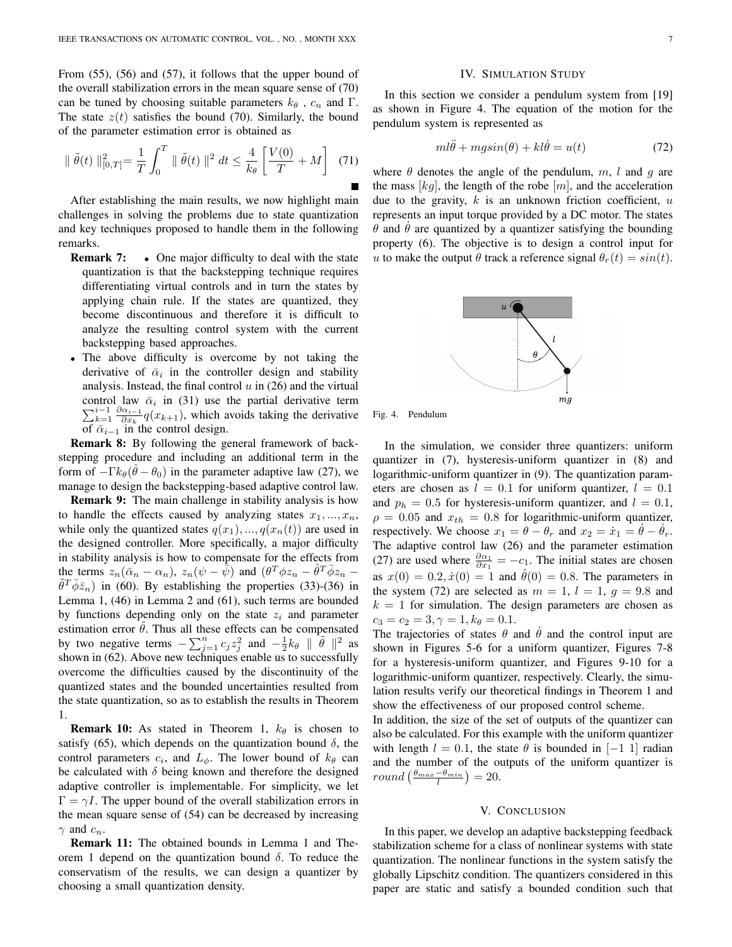From (55), (56) and (57), it follows that the upper bound of the overall stabilization errors in the mean square sense of (70) can be tuned by choosing suitable parameters  $k_{\theta}$ ,  $c_n$  and  $\Gamma$ . The state  $z(t)$  satisfies the bound (70). Similarly, the bound of the parameter estimation error is obtained as

$$
\|\tilde{\theta}(t)\|_{[0,T]}^2 = \frac{1}{T} \int_0^T \|\tilde{\theta}(t)\|^2 dt \le \frac{4}{k_\theta} \left[ \frac{V(0)}{T} + M \right] \tag{71}
$$

After establishing the main results, we now highlight main challenges in solving the problems due to state quantization and key techniques proposed to handle them in the following remarks.

- **Remark 7:** One major difficulty to deal with the state quantization is that the backstepping technique requires differentiating virtual controls and in turn the states by applying chain rule. If the states are quantized, they become discontinuous and therefore it is difficult to analyze the resulting control system with the current backstepping based approaches.
- *•* The above difficulty is overcome by not taking the derivative of  $\bar{\alpha}_i$  in the controller design and stability analysis. Instead, the final control *u* in (26) and the virtual control law  $\bar{\alpha}_i$  in (31) use the partial derivative term  $\sum_{k=1}^{i-1} \frac{\partial \alpha_{i-1}}{\partial x_k} q(x_{k+1})$ , which avoids taking the derivative of  $\bar{\alpha}_{i-1}$  in the control design.

Remark 8: By following the general framework of backstepping procedure and including an additional term in the form of  $-\Gamma k_{\theta}(\hat{\theta} - \theta_0)$  in the parameter adaptive law (27), we manage to design the backstepping-based adaptive control law.

Remark 9: The main challenge in stability analysis is how to handle the effects caused by analyzing states  $x_1, \ldots, x_n$ , while only the quantized states  $q(x_1), ..., q(x_n(t))$  are used in the designed controller. More specifically, a major difficulty in stability analysis is how to compensate for the effects from the terms  $z_n(\bar{\alpha}_n - \alpha_n)$ ,  $z_n(\psi - \bar{\psi})$  and  $(\theta^T \phi z_n - \hat{\theta}^T \bar{\phi} z_n \tilde{\theta}^T \bar{\phi} \bar{z}_n$ ) in (60). By establishing the properties (33)-(36) in Lemma 1, (46) in Lemma 2 and (61), such terms are bounded by functions depending only on the state *z<sup>i</sup>* and parameter estimation error  $\tilde{\theta}$ . Thus all these effects can be compensated by two negative terms  $-\sum_{j=1}^{n} c_j z_j^2$  and  $-\frac{1}{2} k_\theta \parallel \tilde{\theta} \parallel^2$  as shown in (62). Above new techniques enable us to successfully overcome the difficulties caused by the discontinuity of the quantized states and the bounded uncertainties resulted from the state quantization, so as to establish the results in Theorem 1.

**Remark 10:** As stated in Theorem 1,  $k_{\theta}$  is chosen to satisfy (65), which depends on the quantization bound  $\delta$ , the control parameters  $c_i$ , and  $L_\phi$ . The lower bound of  $k_\theta$  can be calculated with  $\delta$  being known and therefore the designed adaptive controller is implementable. For simplicity, we let  $\Gamma = \gamma I$ . The upper bound of the overall stabilization errors in the mean square sense of (54) can be decreased by increasing *γ* and *cn*.

Remark 11: The obtained bounds in Lemma 1 and Theorem 1 depend on the quantization bound *δ*. To reduce the conservatism of the results, we can design a quantizer by choosing a small quantization density.

#### IV. SIMULATION STUDY

In this section we consider a pendulum system from [19] as shown in Figure 4. The equation of the motion for the pendulum system is represented as

$$
ml\ddot{\theta} + mgsin(\theta) + kl\dot{\theta} = u(t)
$$
\n(72)

where  $\theta$  denotes the angle of the pendulum,  $m$ ,  $l$  and  $q$  are the mass  $[kq]$ , the length of the robe  $[m]$ , and the acceleration due to the gravity, *k* is an unknown friction coefficient, *u* represents an input torque provided by a DC motor. The states  $\theta$  and  $\theta$  are quantized by a quantizer satisfying the bounding property (6). The objective is to design a control input for *u* to make the output  $\theta$  track a reference signal  $\theta_r(t) = \sin(t)$ .





In the simulation, we consider three quantizers: uniform quantizer in (7), hysteresis-uniform quantizer in (8) and logarithmic-uniform quantizer in (9). The quantization parameters are chosen as  $l = 0.1$  for uniform quantizer,  $l = 0.1$ and  $p_h = 0.5$  for hysteresis-uniform quantizer, and  $l = 0.1$ ,  $\rho = 0.05$  and  $x_{th} = 0.8$  for logarithmic-uniform quantizer, respectively. We choose  $x_1 = \theta - \theta_r$  and  $x_2 = \dot{x}_1 = \dot{\theta} - \dot{\theta}_r$ . The adaptive control law (26) and the parameter estimation (27) are used where  $\frac{\partial \alpha_1}{\partial x_1} = -c_1$ . The initial states are chosen as  $x(0) = 0.2, \dot{x}(0) = 1$  and  $\hat{\theta}(0) = 0.8$ . The parameters in the system (72) are selected as  $m = 1$ ,  $l = 1$ ,  $q = 9.8$  and  $k = 1$  for simulation. The design parameters are chosen as  $c_3 = c_2 = 3, \gamma = 1, k_\theta = 0.1.$ 

The trajectories of states  $\theta$  and  $\theta$  and the control input are shown in Figures 5-6 for a uniform quantizer, Figures 7-8 for a hysteresis-uniform quantizer, and Figures 9-10 for a logarithmic-uniform quantizer, respectively. Clearly, the simulation results verify our theoretical findings in Theorem 1 and show the effectiveness of our proposed control scheme.

In addition, the size of the set of outputs of the quantizer can also be calculated. For this example with the uniform quantizer with length  $l = 0.1$ , the state  $\theta$  is bounded in [−1 1] radian and the number of the outputs of the uniform quantizer is  $round\left(\frac{\theta_{max}-\theta_{min}}{l}\right)=20.$ 

#### V. CONCLUSION

In this paper, we develop an adaptive backstepping feedback stabilization scheme for a class of nonlinear systems with state quantization. The nonlinear functions in the system satisfy the globally Lipschitz condition. The quantizers considered in this paper are static and satisfy a bounded condition such that